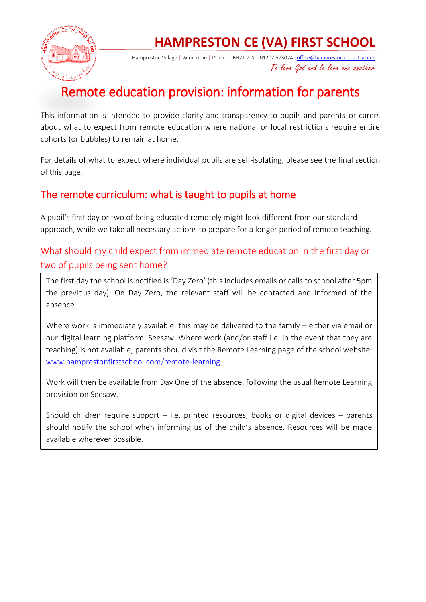

# **HAMPRESTON CE (VA) FIRST SCHOOL**

Hampreston Village | Wimborne | Dorset | BH21 7LX | 01202 573074 | [office@hampreston.dorset.sch.uk](mailto:office@hampreston.dorset.sch.uk) To love God and lo love one another

# Remote education provision: information for parents

This information is intended to provide clarity and transparency to pupils and parents or carers about what to expect from remote education where national or local restrictions require entire cohorts (or bubbles) to remain at home.

For details of what to expect where individual pupils are self-isolating, please see the final section of this page.

## The remote curriculum: what is taught to pupils at home

A pupil's first day or two of being educated remotely might look different from our standard approach, while we take all necessary actions to prepare for a longer period of remote teaching.

#### What should my child expect from immediate remote education in the first day or two of pupils being sent home?

The first day the school is notified is 'Day Zero' (this includes emails or calls to school after 5pm the previous day). On Day Zero, the relevant staff will be contacted and informed of the absence.

Where work is immediately available, this may be delivered to the family – either via email or our digital learning platform: Seesaw. Where work (and/or staff i.e. in the event that they are teaching) is not available, parents should visit the Remote Learning page of the school website: [www.hamprestonfirstschool.com/remote-learning](http://www.hamprestonfirstschool.com/remote-learning)

Work will then be available from Day One of the absence, following the usual Remote Learning provision on Seesaw.

Should children require support  $-$  i.e. printed resources, books or digital devices  $-$  parents should notify the school when informing us of the child's absence. Resources will be made available wherever possible.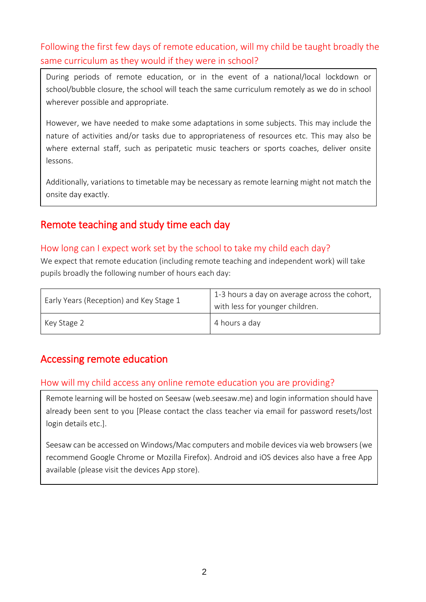### Following the first few days of remote education, will my child be taught broadly the same curriculum as they would if they were in school?

During periods of remote education, or in the event of a national/local lockdown or school/bubble closure, the school will teach the same curriculum remotely as we do in school wherever possible and appropriate.

However, we have needed to make some adaptations in some subjects. This may include the nature of activities and/or tasks due to appropriateness of resources etc. This may also be where external staff, such as peripatetic music teachers or sports coaches, deliver onsite lessons.

Additionally, variations to timetable may be necessary as remote learning might not match the onsite day exactly.

## Remote teaching and study time each day

#### How long can I expect work set by the school to take my child each day?

We expect that remote education (including remote teaching and independent work) will take pupils broadly the following number of hours each day:

| Early Years (Reception) and Key Stage 1 | 1-3 hours a day on average across the cohort,<br>with less for younger children. |
|-----------------------------------------|----------------------------------------------------------------------------------|
| Key Stage 2                             | 4 hours a day                                                                    |

## Accessing remote education

#### How will my child access any online remote education you are providing?

Remote learning will be hosted on Seesaw (web.seesaw.me) and login information should have already been sent to you [Please contact the class teacher via email for password resets/lost login details etc.].

Seesaw can be accessed on Windows/Mac computers and mobile devices via web browsers (we recommend Google Chrome or Mozilla Firefox). Android and iOS devices also have a free App available (please visit the devices App store).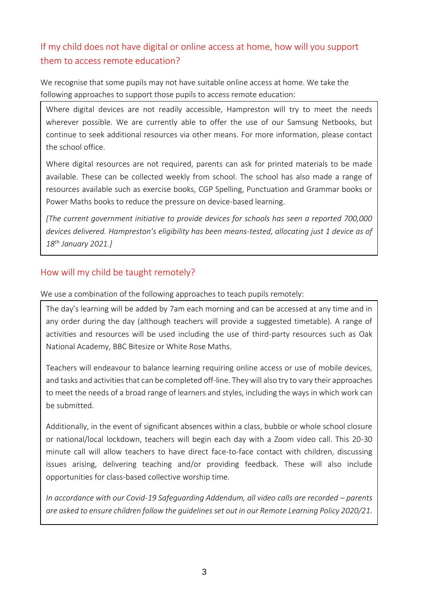## If my child does not have digital or online access at home, how will you support them to access remote education?

We recognise that some pupils may not have suitable online access at home. We take the following approaches to support those pupils to access remote education:

Where digital devices are not readily accessible, Hampreston will try to meet the needs wherever possible. We are currently able to offer the use of our Samsung Netbooks, but continue to seek additional resources via other means. For more information, please contact the school office.

Where digital resources are not required, parents can ask for printed materials to be made available. These can be collected weekly from school. The school has also made a range of resources available such as exercise books, CGP Spelling, Punctuation and Grammar books or Power Maths books to reduce the pressure on device-based learning.

*[The current government initiative to provide devices for schools has seen a reported 700,000 devices delivered. Hampreston's eligibility has been means-tested, allocating just 1 device as of 18th January 2021.]*

#### How will my child be taught remotely?

We use a combination of the following approaches to teach pupils remotely:

The day's learning will be added by 7am each morning and can be accessed at any time and in any order during the day (although teachers will provide a suggested timetable). A range of activities and resources will be used including the use of third-party resources such as Oak National Academy, BBC Bitesize or White Rose Maths.

Teachers will endeavour to balance learning requiring online access or use of mobile devices, and tasks and activities that can be completed off-line. They will also try to vary their approaches to meet the needs of a broad range of learners and styles, including the ways in which work can be submitted.

Additionally, in the event of significant absences within a class, bubble or whole school closure or national/local lockdown, teachers will begin each day with a Zoom video call. This 20-30 minute call will allow teachers to have direct face-to-face contact with children, discussing issues arising, delivering teaching and/or providing feedback. These will also include opportunities for class-based collective worship time.

*In accordance with our Covid-19 Safequarding Addendum, all video calls are recorded – parents are asked to ensure children follow the guidelines set out in our Remote Learning Policy 2020/21.*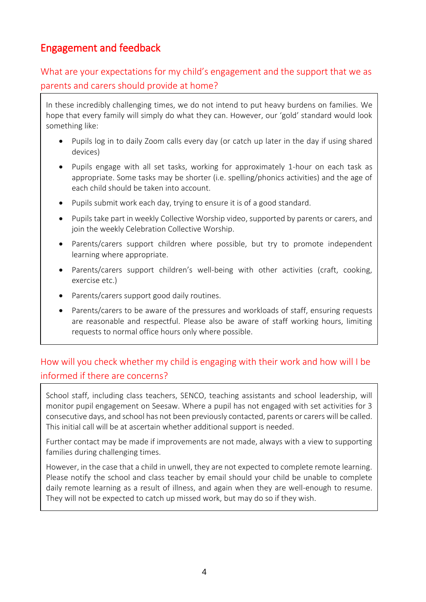# Engagement and feedback

What are your expectations for my child's engagement and the support that we as parents and carers should provide at home?

In these incredibly challenging times, we do not intend to put heavy burdens on families. We hope that every family will simply do what they can. However, our 'gold' standard would look something like:

- Pupils log in to daily Zoom calls every day (or catch up later in the day if using shared devices)
- Pupils engage with all set tasks, working for approximately 1-hour on each task as appropriate. Some tasks may be shorter (i.e. spelling/phonics activities) and the age of each child should be taken into account.
- Pupils submit work each day, trying to ensure it is of a good standard.
- Pupils take part in weekly Collective Worship video, supported by parents or carers, and join the weekly Celebration Collective Worship.
- Parents/carers support children where possible, but try to promote independent learning where appropriate.
- Parents/carers support children's well-being with other activities (craft, cooking, exercise etc.)
- Parents/carers support good daily routines.
- Parents/carers to be aware of the pressures and workloads of staff, ensuring requests are reasonable and respectful. Please also be aware of staff working hours, limiting requests to normal office hours only where possible.

### How will you check whether my child is engaging with their work and how will I be informed if there are concerns?

School staff, including class teachers, SENCO, teaching assistants and school leadership, will monitor pupil engagement on Seesaw. Where a pupil has not engaged with set activities for 3 consecutive days, and school has not been previously contacted, parents or carers will be called. This initial call will be at ascertain whether additional support is needed.

Further contact may be made if improvements are not made, always with a view to supporting families during challenging times.

However, in the case that a child in unwell, they are not expected to complete remote learning. Please notify the school and class teacher by email should your child be unable to complete daily remote learning as a result of illness, and again when they are well-enough to resume. They will not be expected to catch up missed work, but may do so if they wish.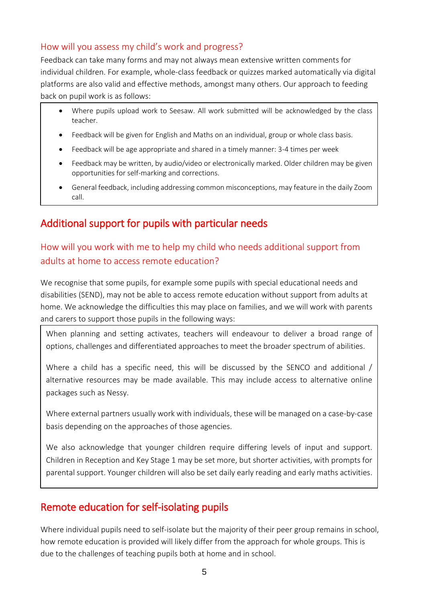#### How will you assess my child's work and progress?

Feedback can take many forms and may not always mean extensive written comments for individual children. For example, whole-class feedback or quizzes marked automatically via digital platforms are also valid and effective methods, amongst many others. Our approach to feeding back on pupil work is as follows:

- Where pupils upload work to Seesaw. All work submitted will be acknowledged by the class teacher.
- Feedback will be given for English and Maths on an individual, group or whole class basis.
- Feedback will be age appropriate and shared in a timely manner: 3-4 times per week
- Feedback may be written, by audio/video or electronically marked. Older children may be given opportunities for self-marking and corrections.
- General feedback, including addressing common misconceptions, may feature in the daily Zoom call.

# Additional support for pupils with particular needs

### How will you work with me to help my child who needs additional support from adults at home to access remote education?

We recognise that some pupils, for example some pupils with special educational needs and disabilities (SEND), may not be able to access remote education without support from adults at home. We acknowledge the difficulties this may place on families, and we will work with parents and carers to support those pupils in the following ways:

When planning and setting activates, teachers will endeavour to deliver a broad range of options, challenges and differentiated approaches to meet the broader spectrum of abilities.

Where a child has a specific need, this will be discussed by the SENCO and additional / alternative resources may be made available. This may include access to alternative online packages such as Nessy.

Where external partners usually work with individuals, these will be managed on a case-by-case basis depending on the approaches of those agencies.

We also acknowledge that younger children require differing levels of input and support. Children in Reception and Key Stage 1 may be set more, but shorter activities, with prompts for parental support. Younger children will also be set daily early reading and early maths activities.

## Remote education for self-isolating pupils

Where individual pupils need to self-isolate but the majority of their peer group remains in school, how remote education is provided will likely differ from the approach for whole groups. This is due to the challenges of teaching pupils both at home and in school.